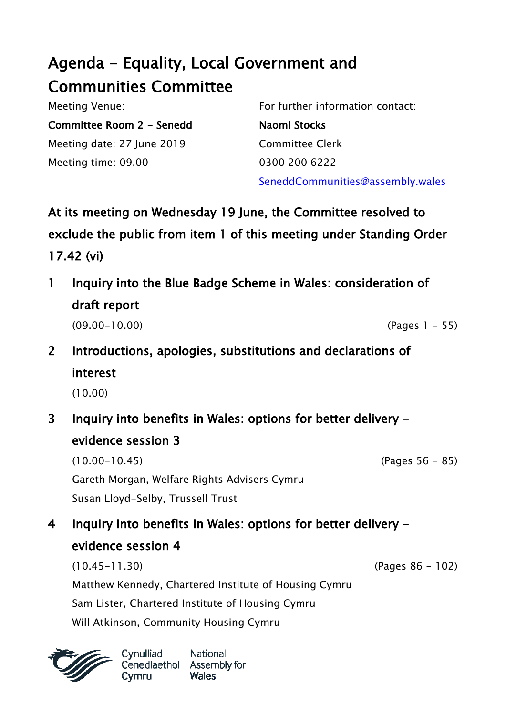## Agenda - Equality, Local Government and Communities Committee

| Meeting Venue:             | For further information contact: |
|----------------------------|----------------------------------|
| Committee Room 2 - Senedd  | Naomi Stocks                     |
| Meeting date: 27 June 2019 | <b>Committee Clerk</b>           |
| Meeting time: 09.00        | 0300 200 6222                    |
|                            | SeneddCommunities@assembly.wales |

At its meeting on Wednesday 19 June, the Committee resolved to exclude the public from item 1 of this meeting under Standing Order 17.42 (vi)

- 1 Inquiry into the Blue Badge Scheme in Wales: consideration of draft report (09.00-10.00) (Pages 1 - 55)
- 2 Introductions, apologies, substitutions and declarations of interest
	- (10.00)
- 3 Inquiry into benefits in Wales: options for better delivery evidence session 3

(10.00-10.45) (Pages 56 - 85) Gareth Morgan, Welfare Rights Advisers Cymru Susan Lloyd-Selby, Trussell Trust

4 Inquiry into benefits in Wales: options for better delivery evidence session 4

(10.45-11.30) (Pages 86 - 102) Matthew Kennedy, Chartered Institute of Housing Cymru Sam Lister, Chartered Institute of Housing Cymru Will Atkinson, Community Housing Cymru